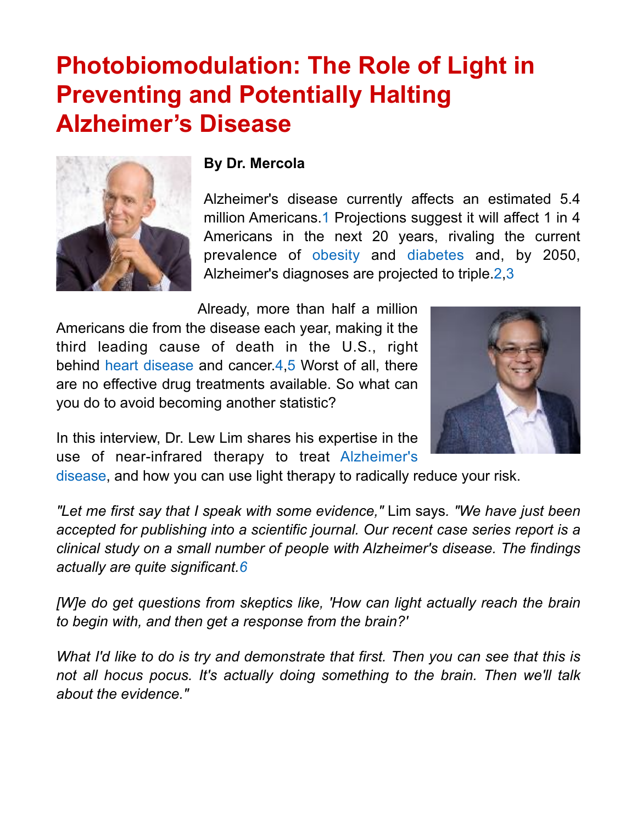# **Photobiomodulation: The Role of Light in Preventing and Potentially Halting Alzheimer's Disease**



#### **By Dr. Mercola**

Alzheimer's disease currently affects an estimated 5.4 million Americans[.1](http://articles.mercola.com/sites/articles/archive/2017/03/05/photobiomodulation-alzheimers-disease.aspx#_edn1) Projections suggest it will affect 1 in 4 Americans in the next 20 years, rivaling the current prevalence of [obesity](http://articles.mercola.com/sites/articles/archive/2015/09/20/what-caused-obesity-epidemic.aspx) and [diabetes](http://www.mercola.com/diabetes.aspx) and, by 2050, Alzheimer's diagnoses are projected to triple.[2,](http://articles.mercola.com/sites/articles/archive/2017/03/05/photobiomodulation-alzheimers-disease.aspx#_edn2)[3](http://articles.mercola.com/sites/articles/archive/2017/03/05/photobiomodulation-alzheimers-disease.aspx#_edn3)

Already, more than half a million Americans die from the disease each year, making it the third leading cause of death in the U.S., right behind [heart disease](http://articles.mercola.com/heart-attack-symptoms.aspx) and cancer.[4](http://articles.mercola.com/sites/articles/archive/2017/03/05/photobiomodulation-alzheimers-disease.aspx#_edn4)[,5](http://articles.mercola.com/sites/articles/archive/2017/03/05/photobiomodulation-alzheimers-disease.aspx#_edn5) Worst of all, there are no effective drug treatments available. So what can you do to avoid becoming another statistic?



In this interview, Dr. Lew Lim shares his expertise in the use of near-infrared therapy to treat [Alzheimer's](http://articles.mercola.com/sites/articles/archive/2017/02/11/alzheimers-every-minute-counts-documentary.aspx) 

[disease](http://articles.mercola.com/sites/articles/archive/2017/02/11/alzheimers-every-minute-counts-documentary.aspx), and how you can use light therapy to radically reduce your risk.

*"Let me first say that I speak with some evidence,"* Lim says*. "We have just been accepted for publishing into a scientific journal. Our recent case series report is a clinical study on a small number of people with Alzheimer's disease. The findings actually are quite significant.[6](http://articles.mercola.com/sites/articles/archive/2017/03/05/photobiomodulation-alzheimers-disease.aspx#_edn6)*

*[W]e do get questions from skeptics like, 'How can light actually reach the brain to begin with, and then get a response from the brain?'*

*What I'd like to do is try and demonstrate that first. Then you can see that this is not all hocus pocus. It's actually doing something to the brain. Then we'll talk about the evidence."*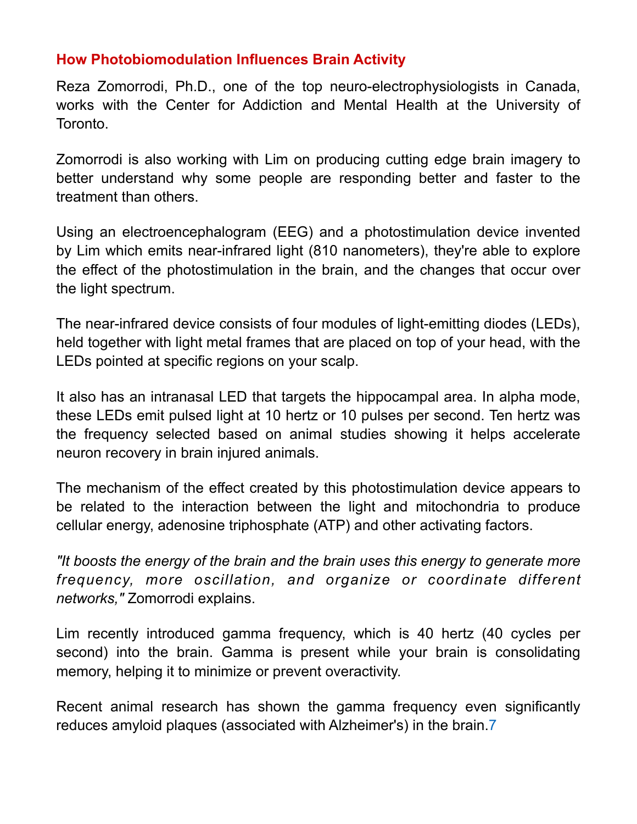# **How Photobiomodulation Influences Brain Activity**

Reza Zomorrodi, Ph.D., one of the top neuro-electrophysiologists in Canada, works with the Center for Addiction and Mental Health at the University of Toronto.

Zomorrodi is also working with Lim on producing cutting edge brain imagery to better understand why some people are responding better and faster to the treatment than others.

Using an electroencephalogram (EEG) and a photostimulation device invented by Lim which emits near-infrared light (810 nanometers), they're able to explore the effect of the photostimulation in the brain, and the changes that occur over the light spectrum.

The near-infrared device consists of four modules of light-emitting diodes (LEDs), held together with light metal frames that are placed on top of your head, with the LEDs pointed at specific regions on your scalp.

It also has an intranasal LED that targets the hippocampal area. In alpha mode, these LEDs emit pulsed light at 10 hertz or 10 pulses per second. Ten hertz was the frequency selected based on animal studies showing it helps accelerate neuron recovery in brain injured animals.

The mechanism of the effect created by this photostimulation device appears to be related to the interaction between the light and mitochondria to produce cellular energy, adenosine triphosphate (ATP) and other activating factors.

*"It boosts the energy of the brain and the brain uses this energy to generate more frequency, more oscillation, and organize or coordinate different networks,"* Zomorrodi explains.

Lim recently introduced gamma frequency, which is 40 hertz (40 cycles per second) into the brain. Gamma is present while your brain is consolidating memory, helping it to minimize or prevent overactivity.

Recent animal research has shown the gamma frequency even significantly reduces amyloid plaques (associated with Alzheimer's) in the brain.[7](http://articles.mercola.com/sites/articles/archive/2017/03/05/photobiomodulation-alzheimers-disease.aspx#_edn7)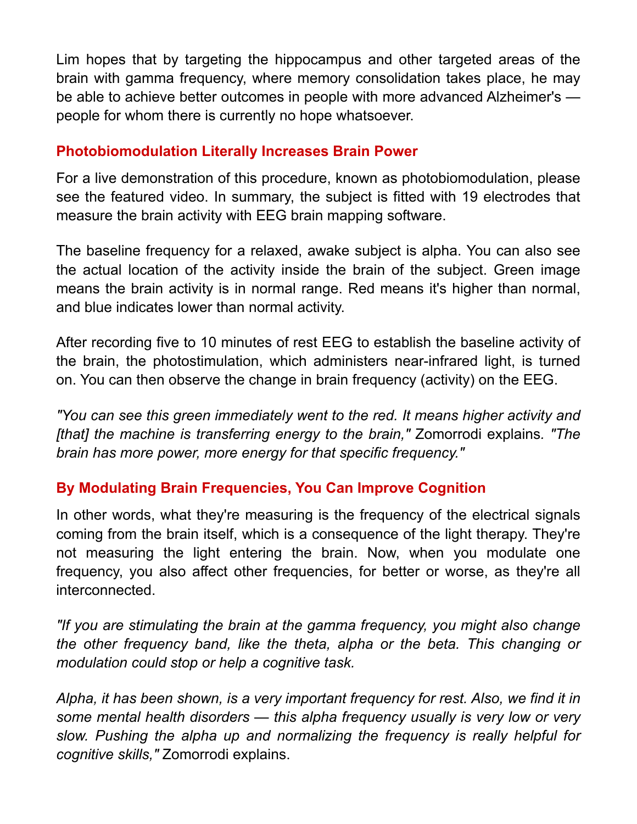Lim hopes that by targeting the hippocampus and other targeted areas of the brain with gamma frequency, where memory consolidation takes place, he may be able to achieve better outcomes in people with more advanced Alzheimer's people for whom there is currently no hope whatsoever.

## **Photobiomodulation Literally Increases Brain Power**

For a live demonstration of this procedure, known as photobiomodulation, please see the featured video. In summary, the subject is fitted with 19 electrodes that measure the brain activity with EEG brain mapping software.

The baseline frequency for a relaxed, awake subject is alpha. You can also see the actual location of the activity inside the brain of the subject. Green image means the brain activity is in normal range. Red means it's higher than normal, and blue indicates lower than normal activity.

After recording five to 10 minutes of rest EEG to establish the baseline activity of the brain, the photostimulation, which administers near-infrared light, is turned on. You can then observe the change in brain frequency (activity) on the EEG.

*"You can see this green immediately went to the red. It means higher activity and [that] the machine is transferring energy to the brain,"* Zomorrodi explains*. "The brain has more power, more energy for that specific frequency."*

# **By Modulating Brain Frequencies, You Can Improve Cognition**

In other words, what they're measuring is the frequency of the electrical signals coming from the brain itself, which is a consequence of the light therapy. They're not measuring the light entering the brain. Now, when you modulate one frequency, you also affect other frequencies, for better or worse, as they're all interconnected.

*"If you are stimulating the brain at the gamma frequency, you might also change the other frequency band, like the theta, alpha or the beta. This changing or modulation could stop or help a cognitive task.*

*Alpha, it has been shown, is a very important frequency for rest. Also, we find it in some mental health disorders — this alpha frequency usually is very low or very slow. Pushing the alpha up and normalizing the frequency is really helpful for cognitive skills,"* Zomorrodi explains.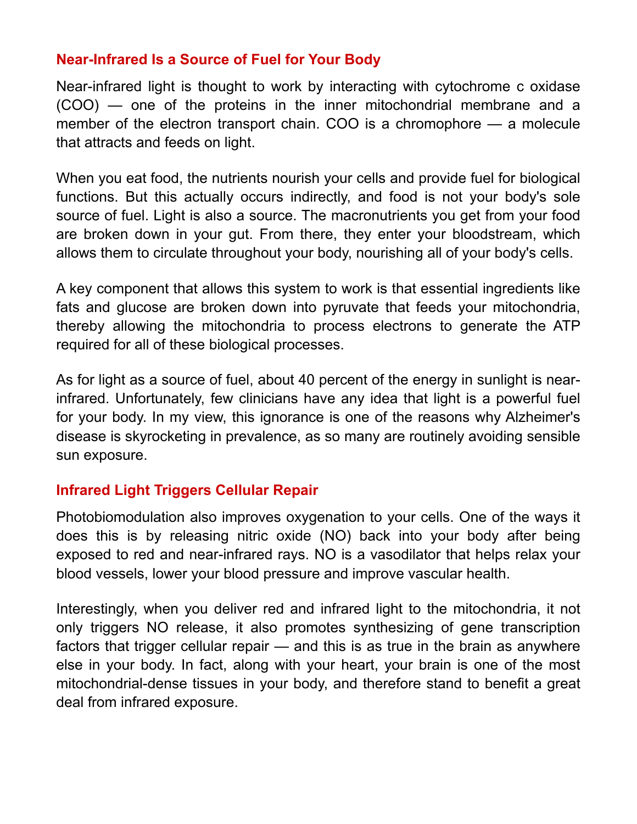## **Near-Infrared Is a Source of Fuel for Your Body**

Near-infrared light is thought to work by interacting with cytochrome c oxidase (COO) — one of the proteins in the inner mitochondrial membrane and a member of the electron transport chain. COO is a chromophore — a molecule that attracts and feeds on light.

When you eat food, the nutrients nourish your cells and provide fuel for biological functions. But this actually occurs indirectly, and food is not your body's sole source of fuel. Light is also a source. The macronutrients you get from your food are broken down in your gut. From there, they enter your bloodstream, which allows them to circulate throughout your body, nourishing all of your body's cells.

A key component that allows this system to work is that essential ingredients like fats and glucose are broken down into pyruvate that feeds your mitochondria, thereby allowing the mitochondria to process electrons to generate the ATP required for all of these biological processes.

As for light as a source of fuel, about 40 percent of the energy in sunlight is nearinfrared. Unfortunately, few clinicians have any idea that light is a powerful fuel for your body. In my view, this ignorance is one of the reasons why Alzheimer's disease is skyrocketing in prevalence, as so many are routinely avoiding sensible sun exposure.

#### **Infrared Light Triggers Cellular Repair**

Photobiomodulation also improves oxygenation to your cells. One of the ways it does this is by releasing nitric oxide (NO) back into your body after being exposed to red and near-infrared rays. NO is a vasodilator that helps relax your blood vessels, lower your blood pressure and improve vascular health.

Interestingly, when you deliver red and infrared light to the mitochondria, it not only triggers NO release, it also promotes synthesizing of gene transcription factors that trigger cellular repair — and this is as true in the brain as anywhere else in your body. In fact, along with your heart, your brain is one of the most mitochondrial-dense tissues in your body, and therefore stand to benefit a great deal from infrared exposure.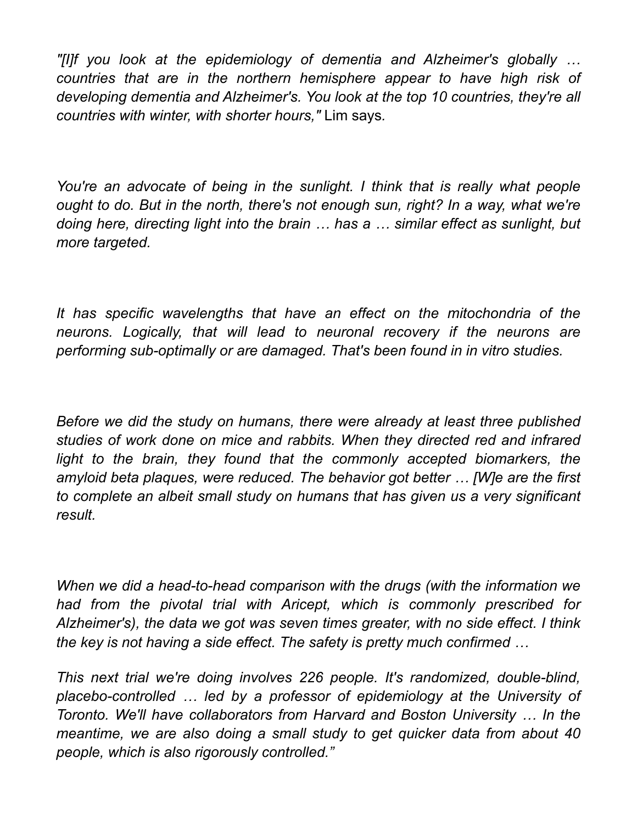*"[I]f you look at the epidemiology of dementia and Alzheimer's globally … countries that are in the northern hemisphere appear to have high risk of developing dementia and Alzheimer's. You look at the top 10 countries, they're all countries with winter, with shorter hours,"* Lim says*.*

*You're an advocate of being in the sunlight. I think that is really what people ought to do. But in the north, there's not enough sun, right? In a way, what we're doing here, directing light into the brain … has a … similar effect as sunlight, but more targeted.*

*It has specific wavelengths that have an effect on the mitochondria of the neurons. Logically, that will lead to neuronal recovery if the neurons are performing sub-optimally or are damaged. That's been found in in vitro studies.*

*Before we did the study on humans, there were already at least three published studies of work done on mice and rabbits. When they directed red and infrared*  light to the brain, they found that the commonly accepted biomarkers, the *amyloid beta plaques, were reduced. The behavior got better … [W]e are the first to complete an albeit small study on humans that has given us a very significant result.*

*When we did a head-to-head comparison with the drugs (with the information we had from the pivotal trial with Aricept, which is commonly prescribed for Alzheimer's), the data we got was seven times greater, with no side effect. I think the key is not having a side effect. The safety is pretty much confirmed …*

*This next trial we're doing involves 226 people. It's randomized, double-blind, placebo-controlled … led by a professor of epidemiology at the University of Toronto. We'll have collaborators from Harvard and Boston University … In the meantime, we are also doing a small study to get quicker data from about 40 people, which is also rigorously controlled."*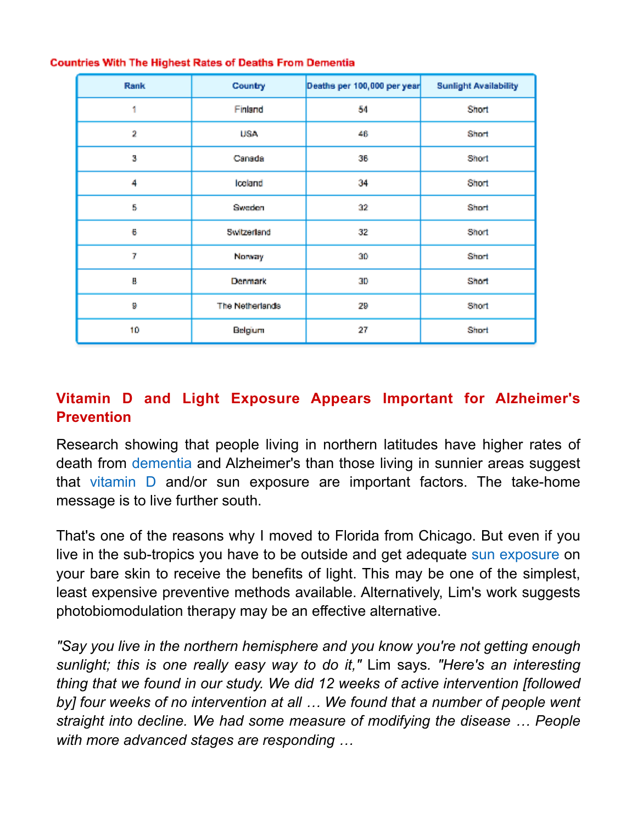| Rank | Country         | Deaths per 100,000 per year | <b>Sunlight Availability</b> |
|------|-----------------|-----------------------------|------------------------------|
| 1    | Finland         | 54                          | Short                        |
| 2    | USA             | 46                          | Short                        |
| 3    | Canada          | 36                          | Short                        |
| 4    | loeland         | 34                          | Short                        |
| 5    | Sweden          | 32                          | Short                        |
| 6    | Switzerland     | 32                          | Short                        |
| 7    | Norway          | 30                          | Short                        |
| ą,   | Denmark         | 30                          | Short                        |
| 9    | The Netherlands | 29                          | Short                        |
| 10   | Belgium         | 27                          | Short                        |

#### **Countries With The Highest Rates of Deaths From Dementia**

# **Vitamin D and Light Exposure Appears Important for Alzheimer's Prevention**

Research showing that people living in northern latitudes have higher rates of death from [dementia](http://articles.mercola.com/sites/articles/archive/2013/06/13/alzheimers-dementia-treatment.aspx) and Alzheimer's than those living in sunnier areas suggest that [vitamin D](http://www.mercola.com/Downloads/bonus/vitamin-d/report.aspx) and/or sun exposure are important factors. The take-home message is to live further south.

That's one of the reasons why I moved to Florida from Chicago. But even if you live in the sub-tropics you have to be outside and get adequate [sun exposure](http://articles.mercola.com/sites/articles/archive/2016/04/04/sun-exposure-benefits-risks.aspx) on your bare skin to receive the benefits of light. This may be one of the simplest, least expensive preventive methods available. Alternatively, Lim's work suggests photobiomodulation therapy may be an effective alternative.

*"Say you live in the northern hemisphere and you know you're not getting enough sunlight; this is one really easy way to do it,"* Lim says*. "Here's an interesting thing that we found in our study. We did 12 weeks of active intervention [followed*  by] four weeks of no intervention at all ... We found that a number of people went *straight into decline. We had some measure of modifying the disease … People with more advanced stages are responding …*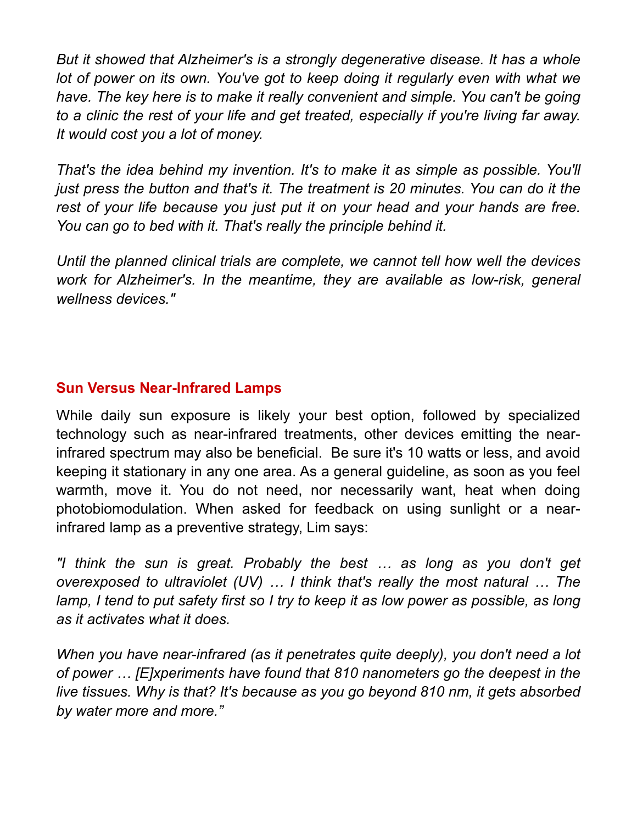*But it showed that Alzheimer's is a strongly degenerative disease. It has a whole*  lot of power on its own. You've got to keep doing it regularly even with what we *have. The key here is to make it really convenient and simple. You can't be going to a clinic the rest of your life and get treated, especially if you're living far away. It would cost you a lot of money.*

*That's the idea behind my invention. It's to make it as simple as possible. You'll just press the button and that's it. The treatment is 20 minutes. You can do it the rest of your life because you just put it on your head and your hands are free. You can go to bed with it. That's really the principle behind it.*

*Until the planned clinical trials are complete, we cannot tell how well the devices work for Alzheimer's. In the meantime, they are available as low-risk, general wellness devices."*

# **Sun Versus Near-Infrared Lamps**

While daily sun exposure is likely your best option, followed by specialized technology such as near-infrared treatments, other devices emitting the nearinfrared spectrum may also be beneficial. Be sure it's 10 watts or less, and avoid keeping it stationary in any one area. As a general guideline, as soon as you feel warmth, move it. You do not need, nor necessarily want, heat when doing photobiomodulation. When asked for feedback on using sunlight or a nearinfrared lamp as a preventive strategy, Lim says:

*"I think the sun is great. Probably the best … as long as you don't get overexposed to ultraviolet (UV) … I think that's really the most natural … The lamp, I tend to put safety first so I try to keep it as low power as possible, as long as it activates what it does.*

*When you have near-infrared (as it penetrates quite deeply), you don't need a lot of power … [E]xperiments have found that 810 nanometers go the deepest in the live tissues. Why is that? It's because as you go beyond 810 nm, it gets absorbed by water more and more."*